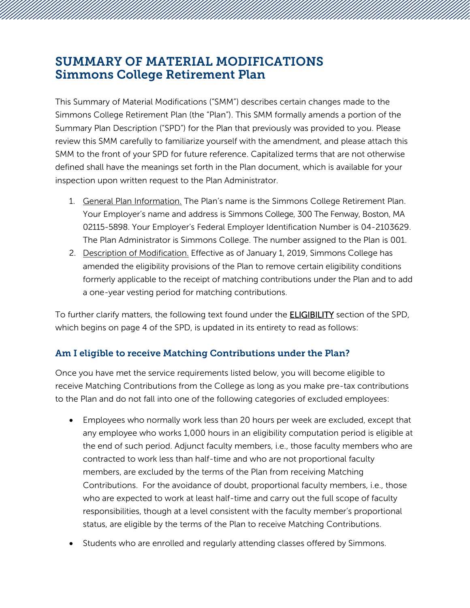## SUMMARY OF MATERIAL MODIFICATIONS Simmons College Retirement Plan

This Summary of Material Modifications ("SMM") describes certain changes made to the Simmons College Retirement Plan (the "Plan"). This SMM formally amends a portion of the Summary Plan Description ("SPD") for the Plan that previously was provided to you. Please review this SMM carefully to familiarize yourself with the amendment, and please attach this SMM to the front of your SPD for future reference. Capitalized terms that are not otherwise defined shall have the meanings set forth in the Plan document, which is available for your inspection upon written request to the Plan Administrator.

- 1. General Plan Information. The Plan's name is the Simmons College Retirement Plan. Your Employer's name and address is Simmons College, 300 The Fenway, Boston, MA 02115-5898. Your Employer's Federal Employer Identification Number is 04-2103629. The Plan Administrator is Simmons College. The number assigned to the Plan is 001.
- 2. Description of Modification. Effective as of January 1, 2019, Simmons College has amended the eligibility provisions of the Plan to remove certain eligibility conditions formerly applicable to the receipt of matching contributions under the Plan and to add a one-year vesting period for matching contributions.

To further clarify matters, the following text found under the **ELIGIBILITY** section of the SPD, which begins on page 4 of the SPD, is updated in its entirety to read as follows:

## Am I eligible to receive Matching Contributions under the Plan?

Once you have met the service requirements listed below, you will become eligible to receive Matching Contributions from the College as long as you make pre-tax contributions to the Plan and do not fall into one of the following categories of excluded employees:

- Employees who normally work less than 20 hours per week are excluded, except that any employee who works 1,000 hours in an eligibility computation period is eligible at the end of such period. Adjunct faculty members, i.e., those faculty members who are contracted to work less than half-time and who are not proportional faculty members, are excluded by the terms of the Plan from receiving Matching Contributions. For the avoidance of doubt, proportional faculty members, i.e., those who are expected to work at least half-time and carry out the full scope of faculty responsibilities, though at a level consistent with the faculty member's proportional status, are eligible by the terms of the Plan to receive Matching Contributions.
- Students who are enrolled and regularly attending classes offered by Simmons.